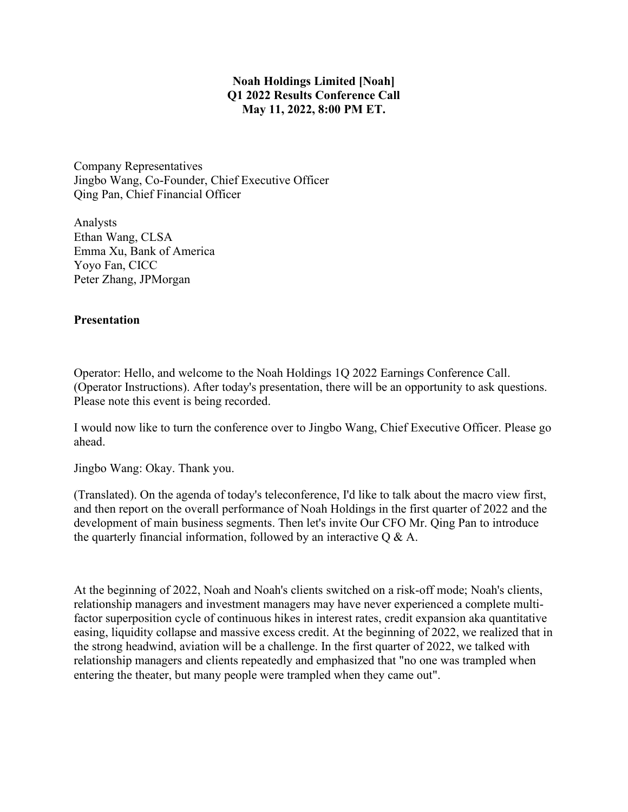## **Noah Holdings Limited [Noah] Q1 2022 Results Conference Call May 11, 2022, 8:00 PM ET.**

Company Representatives Jingbo Wang, Co-Founder, Chief Executive Officer Qing Pan, Chief Financial Officer

Analysts Ethan Wang, CLSA Emma Xu, Bank of America Yoyo Fan, CICC Peter Zhang, JPMorgan

## **Presentation**

Operator: Hello, and welcome to the Noah Holdings 1Q 2022 Earnings Conference Call. (Operator Instructions). After today's presentation, there will be an opportunity to ask questions. Please note this event is being recorded.

I would now like to turn the conference over to Jingbo Wang, Chief Executive Officer. Please go ahead.

Jingbo Wang: Okay. Thank you.

(Translated). On the agenda of today's teleconference, I'd like to talk about the macro view first, and then report on the overall performance of Noah Holdings in the first quarter of 2022 and the development of main business segments. Then let's invite Our CFO Mr. Qing Pan to introduce the quarterly financial information, followed by an interactive  $Q \& A$ .

At the beginning of 2022, Noah and Noah's clients switched on a risk-off mode; Noah's clients, relationship managers and investment managers may have never experienced a complete multifactor superposition cycle of continuous hikes in interest rates, credit expansion aka quantitative easing, liquidity collapse and massive excess credit. At the beginning of 2022, we realized that in the strong headwind, aviation will be a challenge. In the first quarter of 2022, we talked with relationship managers and clients repeatedly and emphasized that "no one was trampled when entering the theater, but many people were trampled when they came out".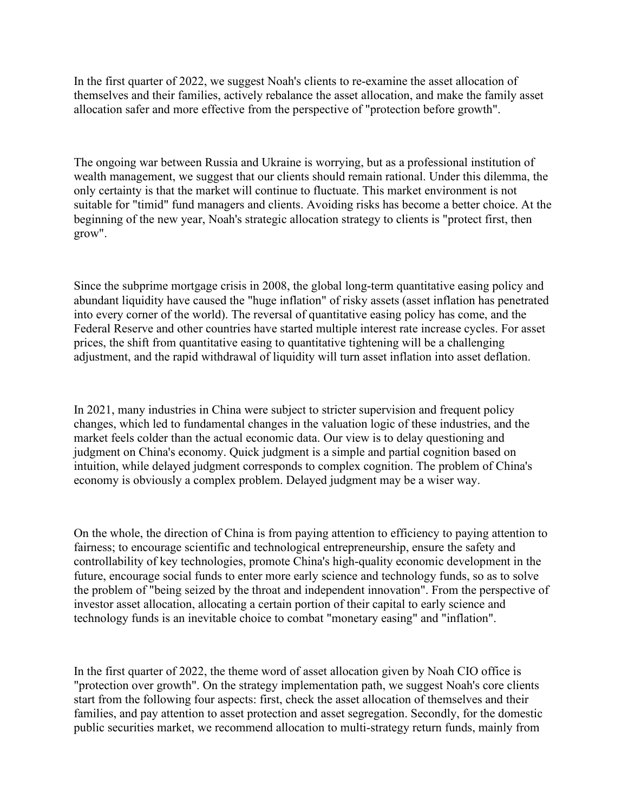In the first quarter of 2022, we suggest Noah's clients to re-examine the asset allocation of themselves and their families, actively rebalance the asset allocation, and make the family asset allocation safer and more effective from the perspective of "protection before growth".

The ongoing war between Russia and Ukraine is worrying, but as a professional institution of wealth management, we suggest that our clients should remain rational. Under this dilemma, the only certainty is that the market will continue to fluctuate. This market environment is not suitable for "timid" fund managers and clients. Avoiding risks has become a better choice. At the beginning of the new year, Noah's strategic allocation strategy to clients is "protect first, then grow".

Since the subprime mortgage crisis in 2008, the global long-term quantitative easing policy and abundant liquidity have caused the "huge inflation" of risky assets (asset inflation has penetrated into every corner of the world). The reversal of quantitative easing policy has come, and the Federal Reserve and other countries have started multiple interest rate increase cycles. For asset prices, the shift from quantitative easing to quantitative tightening will be a challenging adjustment, and the rapid withdrawal of liquidity will turn asset inflation into asset deflation.

In 2021, many industries in China were subject to stricter supervision and frequent policy changes, which led to fundamental changes in the valuation logic of these industries, and the market feels colder than the actual economic data. Our view is to delay questioning and judgment on China's economy. Quick judgment is a simple and partial cognition based on intuition, while delayed judgment corresponds to complex cognition. The problem of China's economy is obviously a complex problem. Delayed judgment may be a wiser way.

On the whole, the direction of China is from paying attention to efficiency to paying attention to fairness; to encourage scientific and technological entrepreneurship, ensure the safety and controllability of key technologies, promote China's high-quality economic development in the future, encourage social funds to enter more early science and technology funds, so as to solve the problem of "being seized by the throat and independent innovation". From the perspective of investor asset allocation, allocating a certain portion of their capital to early science and technology funds is an inevitable choice to combat "monetary easing" and "inflation".

In the first quarter of 2022, the theme word of asset allocation given by Noah CIO office is "protection over growth". On the strategy implementation path, we suggest Noah's core clients start from the following four aspects: first, check the asset allocation of themselves and their families, and pay attention to asset protection and asset segregation. Secondly, for the domestic public securities market, we recommend allocation to multi-strategy return funds, mainly from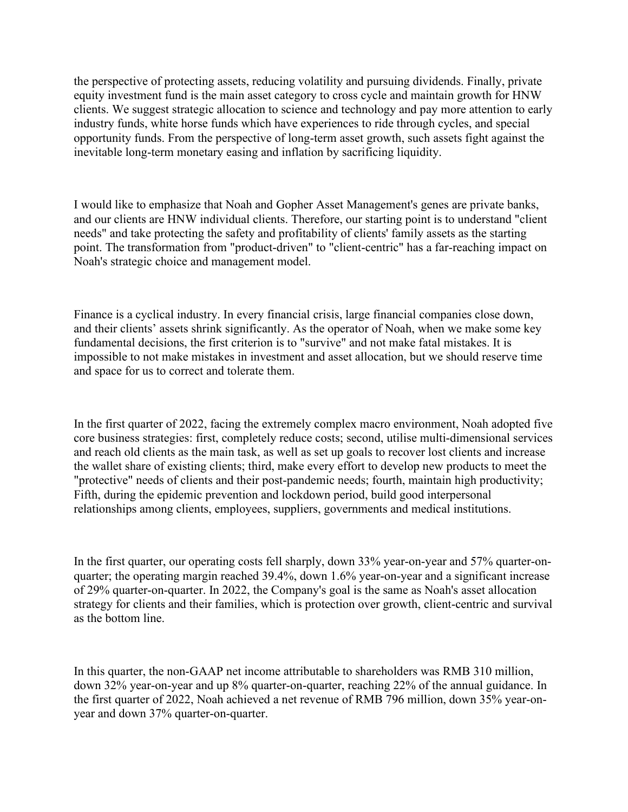the perspective of protecting assets, reducing volatility and pursuing dividends. Finally, private equity investment fund is the main asset category to cross cycle and maintain growth for HNW clients. We suggest strategic allocation to science and technology and pay more attention to early industry funds, white horse funds which have experiences to ride through cycles, and special opportunity funds. From the perspective of long-term asset growth, such assets fight against the inevitable long-term monetary easing and inflation by sacrificing liquidity.

I would like to emphasize that Noah and Gopher Asset Management's genes are private banks, and our clients are HNW individual clients. Therefore, our starting point is to understand "client needs" and take protecting the safety and profitability of clients' family assets as the starting point. The transformation from "product-driven" to "client-centric" has a far-reaching impact on Noah's strategic choice and management model.

Finance is a cyclical industry. In every financial crisis, large financial companies close down, and their clients' assets shrink significantly. As the operator of Noah, when we make some key fundamental decisions, the first criterion is to "survive" and not make fatal mistakes. It is impossible to not make mistakes in investment and asset allocation, but we should reserve time and space for us to correct and tolerate them.

In the first quarter of 2022, facing the extremely complex macro environment, Noah adopted five core business strategies: first, completely reduce costs; second, utilise multi-dimensional services and reach old clients as the main task, as well as set up goals to recover lost clients and increase the wallet share of existing clients; third, make every effort to develop new products to meet the "protective" needs of clients and their post-pandemic needs; fourth, maintain high productivity; Fifth, during the epidemic prevention and lockdown period, build good interpersonal relationships among clients, employees, suppliers, governments and medical institutions.

In the first quarter, our operating costs fell sharply, down 33% year-on-year and 57% quarter-onquarter; the operating margin reached 39.4%, down 1.6% year-on-year and a significant increase of 29% quarter-on-quarter. In 2022, the Company's goal is the same as Noah's asset allocation strategy for clients and their families, which is protection over growth, client-centric and survival as the bottom line.

In this quarter, the non-GAAP net income attributable to shareholders was RMB 310 million, down 32% year-on-year and up 8% quarter-on-quarter, reaching 22% of the annual guidance. In the first quarter of 2022, Noah achieved a net revenue of RMB 796 million, down 35% year-onyear and down 37% quarter-on-quarter.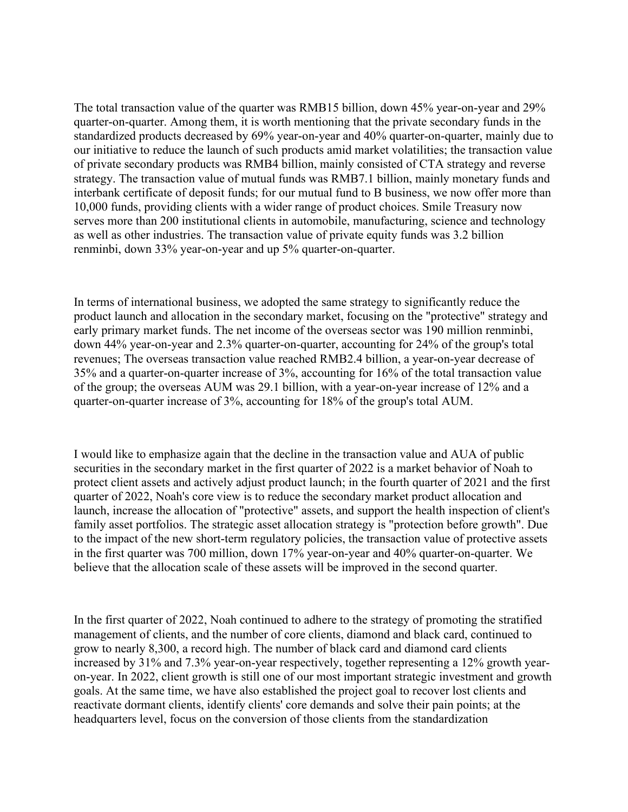The total transaction value of the quarter was RMB15 billion, down 45% year-on-year and 29% quarter-on-quarter. Among them, it is worth mentioning that the private secondary funds in the standardized products decreased by 69% year-on-year and 40% quarter-on-quarter, mainly due to our initiative to reduce the launch of such products amid market volatilities; the transaction value of private secondary products was RMB4 billion, mainly consisted of CTA strategy and reverse strategy. The transaction value of mutual funds was RMB7.1 billion, mainly monetary funds and interbank certificate of deposit funds; for our mutual fund to B business, we now offer more than 10,000 funds, providing clients with a wider range of product choices. Smile Treasury now serves more than 200 institutional clients in automobile, manufacturing, science and technology as well as other industries. The transaction value of private equity funds was 3.2 billion renminbi, down 33% year-on-year and up 5% quarter-on-quarter.

In terms of international business, we adopted the same strategy to significantly reduce the product launch and allocation in the secondary market, focusing on the "protective" strategy and early primary market funds. The net income of the overseas sector was 190 million renminbi, down 44% year-on-year and 2.3% quarter-on-quarter, accounting for 24% of the group's total revenues; The overseas transaction value reached RMB2.4 billion, a year-on-year decrease of 35% and a quarter-on-quarter increase of 3%, accounting for 16% of the total transaction value of the group; the overseas AUM was 29.1 billion, with a year-on-year increase of 12% and a quarter-on-quarter increase of 3%, accounting for 18% of the group's total AUM.

I would like to emphasize again that the decline in the transaction value and AUA of public securities in the secondary market in the first quarter of 2022 is a market behavior of Noah to protect client assets and actively adjust product launch; in the fourth quarter of 2021 and the first quarter of 2022, Noah's core view is to reduce the secondary market product allocation and launch, increase the allocation of "protective" assets, and support the health inspection of client's family asset portfolios. The strategic asset allocation strategy is "protection before growth". Due to the impact of the new short-term regulatory policies, the transaction value of protective assets in the first quarter was 700 million, down 17% year-on-year and 40% quarter-on-quarter. We believe that the allocation scale of these assets will be improved in the second quarter.

In the first quarter of 2022, Noah continued to adhere to the strategy of promoting the stratified management of clients, and the number of core clients, diamond and black card, continued to grow to nearly 8,300, a record high. The number of black card and diamond card clients increased by 31% and 7.3% year-on-year respectively, together representing a 12% growth yearon-year. In 2022, client growth is still one of our most important strategic investment and growth goals. At the same time, we have also established the project goal to recover lost clients and reactivate dormant clients, identify clients' core demands and solve their pain points; at the headquarters level, focus on the conversion of those clients from the standardization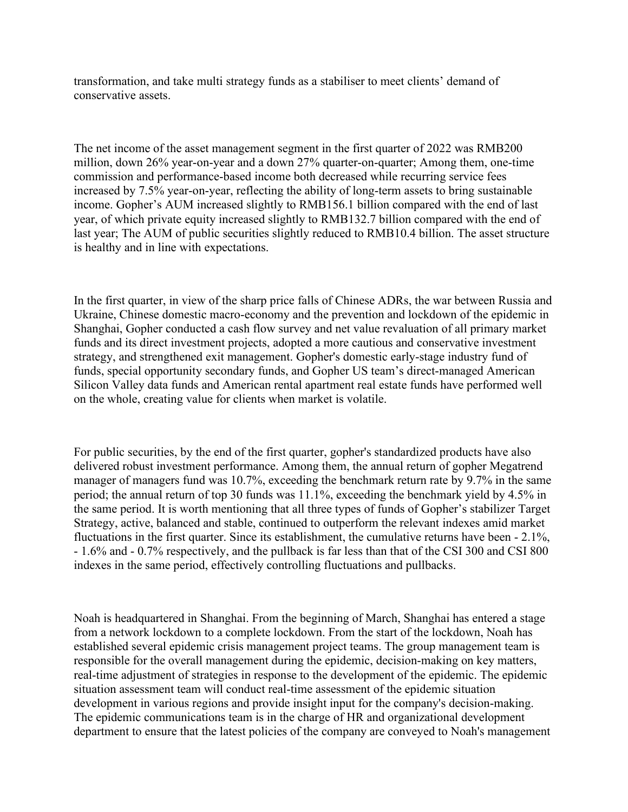transformation, and take multi strategy funds as a stabiliser to meet clients' demand of conservative assets.

The net income of the asset management segment in the first quarter of 2022 was RMB200 million, down 26% year-on-year and a down 27% quarter-on-quarter; Among them, one-time commission and performance-based income both decreased while recurring service fees increased by 7.5% year-on-year, reflecting the ability of long-term assets to bring sustainable income. Gopher's AUM increased slightly to RMB156.1 billion compared with the end of last year, of which private equity increased slightly to RMB132.7 billion compared with the end of last year; The AUM of public securities slightly reduced to RMB10.4 billion. The asset structure is healthy and in line with expectations.

In the first quarter, in view of the sharp price falls of Chinese ADRs, the war between Russia and Ukraine, Chinese domestic macro-economy and the prevention and lockdown of the epidemic in Shanghai, Gopher conducted a cash flow survey and net value revaluation of all primary market funds and its direct investment projects, adopted a more cautious and conservative investment strategy, and strengthened exit management. Gopher's domestic early-stage industry fund of funds, special opportunity secondary funds, and Gopher US team's direct-managed American Silicon Valley data funds and American rental apartment real estate funds have performed well on the whole, creating value for clients when market is volatile.

For public securities, by the end of the first quarter, gopher's standardized products have also delivered robust investment performance. Among them, the annual return of gopher Megatrend manager of managers fund was 10.7%, exceeding the benchmark return rate by 9.7% in the same period; the annual return of top 30 funds was 11.1%, exceeding the benchmark yield by 4.5% in the same period. It is worth mentioning that all three types of funds of Gopher's stabilizer Target Strategy, active, balanced and stable, continued to outperform the relevant indexes amid market fluctuations in the first quarter. Since its establishment, the cumulative returns have been - 2.1%, - 1.6% and - 0.7% respectively, and the pullback is far less than that of the CSI 300 and CSI 800 indexes in the same period, effectively controlling fluctuations and pullbacks.

Noah is headquartered in Shanghai. From the beginning of March, Shanghai has entered a stage from a network lockdown to a complete lockdown. From the start of the lockdown, Noah has established several epidemic crisis management project teams. The group management team is responsible for the overall management during the epidemic, decision-making on key matters, real-time adjustment of strategies in response to the development of the epidemic. The epidemic situation assessment team will conduct real-time assessment of the epidemic situation development in various regions and provide insight input for the company's decision-making. The epidemic communications team is in the charge of HR and organizational development department to ensure that the latest policies of the company are conveyed to Noah's management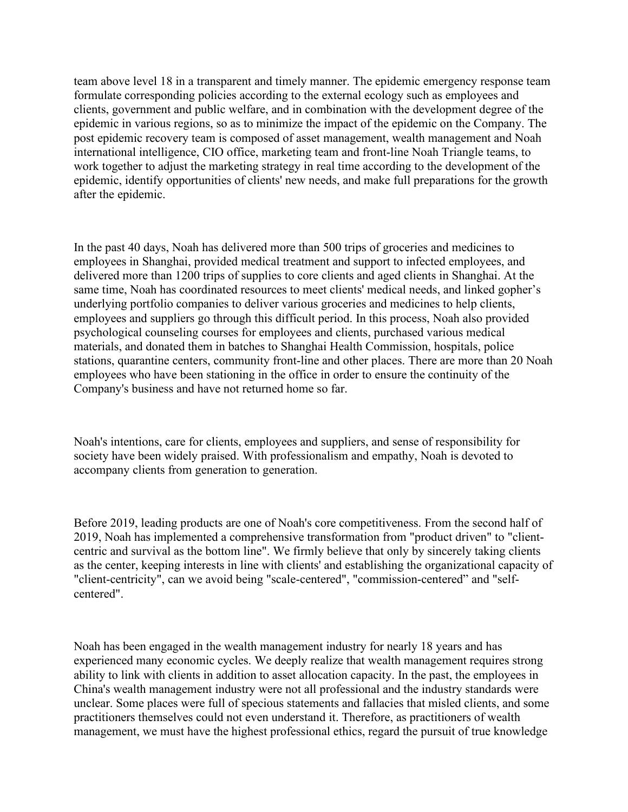team above level 18 in a transparent and timely manner. The epidemic emergency response team formulate corresponding policies according to the external ecology such as employees and clients, government and public welfare, and in combination with the development degree of the epidemic in various regions, so as to minimize the impact of the epidemic on the Company. The post epidemic recovery team is composed of asset management, wealth management and Noah international intelligence, CIO office, marketing team and front-line Noah Triangle teams, to work together to adjust the marketing strategy in real time according to the development of the epidemic, identify opportunities of clients' new needs, and make full preparations for the growth after the epidemic.

In the past 40 days, Noah has delivered more than 500 trips of groceries and medicines to employees in Shanghai, provided medical treatment and support to infected employees, and delivered more than 1200 trips of supplies to core clients and aged clients in Shanghai. At the same time, Noah has coordinated resources to meet clients' medical needs, and linked gopher's underlying portfolio companies to deliver various groceries and medicines to help clients, employees and suppliers go through this difficult period. In this process, Noah also provided psychological counseling courses for employees and clients, purchased various medical materials, and donated them in batches to Shanghai Health Commission, hospitals, police stations, quarantine centers, community front-line and other places. There are more than 20 Noah employees who have been stationing in the office in order to ensure the continuity of the Company's business and have not returned home so far.

Noah's intentions, care for clients, employees and suppliers, and sense of responsibility for society have been widely praised. With professionalism and empathy, Noah is devoted to accompany clients from generation to generation.

Before 2019, leading products are one of Noah's core competitiveness. From the second half of 2019, Noah has implemented a comprehensive transformation from "product driven" to "clientcentric and survival as the bottom line". We firmly believe that only by sincerely taking clients as the center, keeping interests in line with clients' and establishing the organizational capacity of "client-centricity", can we avoid being "scale-centered", "commission-centered" and "selfcentered".

Noah has been engaged in the wealth management industry for nearly 18 years and has experienced many economic cycles. We deeply realize that wealth management requires strong ability to link with clients in addition to asset allocation capacity. In the past, the employees in China's wealth management industry were not all professional and the industry standards were unclear. Some places were full of specious statements and fallacies that misled clients, and some practitioners themselves could not even understand it. Therefore, as practitioners of wealth management, we must have the highest professional ethics, regard the pursuit of true knowledge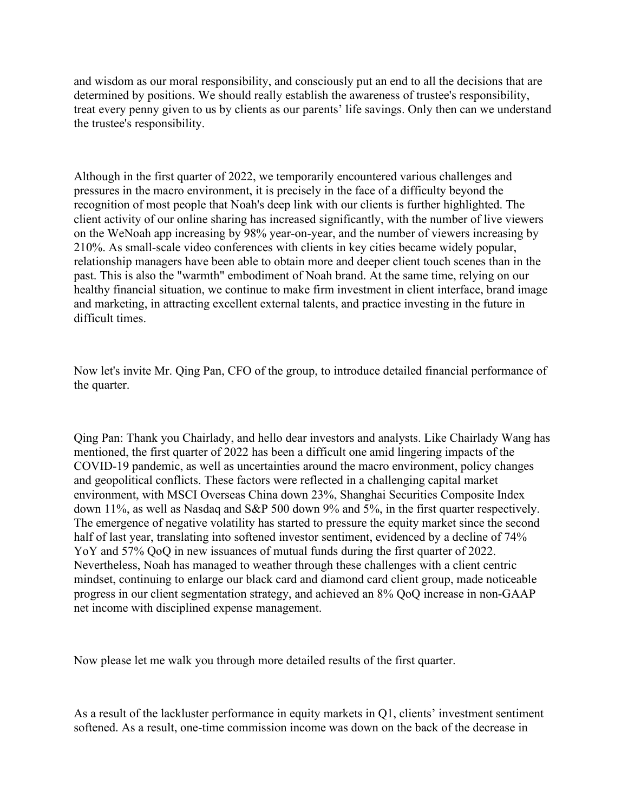and wisdom as our moral responsibility, and consciously put an end to all the decisions that are determined by positions. We should really establish the awareness of trustee's responsibility, treat every penny given to us by clients as our parents' life savings. Only then can we understand the trustee's responsibility.

Although in the first quarter of 2022, we temporarily encountered various challenges and pressures in the macro environment, it is precisely in the face of a difficulty beyond the recognition of most people that Noah's deep link with our clients is further highlighted. The client activity of our online sharing has increased significantly, with the number of live viewers on the WeNoah app increasing by 98% year-on-year, and the number of viewers increasing by 210%. As small-scale video conferences with clients in key cities became widely popular, relationship managers have been able to obtain more and deeper client touch scenes than in the past. This is also the "warmth" embodiment of Noah brand. At the same time, relying on our healthy financial situation, we continue to make firm investment in client interface, brand image and marketing, in attracting excellent external talents, and practice investing in the future in difficult times.

Now let's invite Mr. Qing Pan, CFO of the group, to introduce detailed financial performance of the quarter.

Qing Pan: Thank you Chairlady, and hello dear investors and analysts. Like Chairlady Wang has mentioned, the first quarter of 2022 has been a difficult one amid lingering impacts of the COVID-19 pandemic, as well as uncertainties around the macro environment, policy changes and geopolitical conflicts. These factors were reflected in a challenging capital market environment, with MSCI Overseas China down 23%, Shanghai Securities Composite Index down 11%, as well as Nasdaq and S&P 500 down 9% and 5%, in the first quarter respectively. The emergence of negative volatility has started to pressure the equity market since the second half of last year, translating into softened investor sentiment, evidenced by a decline of 74% Yo Y and 57% QoQ in new issuances of mutual funds during the first quarter of 2022. Nevertheless, Noah has managed to weather through these challenges with a client centric mindset, continuing to enlarge our black card and diamond card client group, made noticeable progress in our client segmentation strategy, and achieved an 8% QoQ increase in non-GAAP net income with disciplined expense management.

Now please let me walk you through more detailed results of the first quarter.

As a result of the lackluster performance in equity markets in Q1, clients' investment sentiment softened. As a result, one-time commission income was down on the back of the decrease in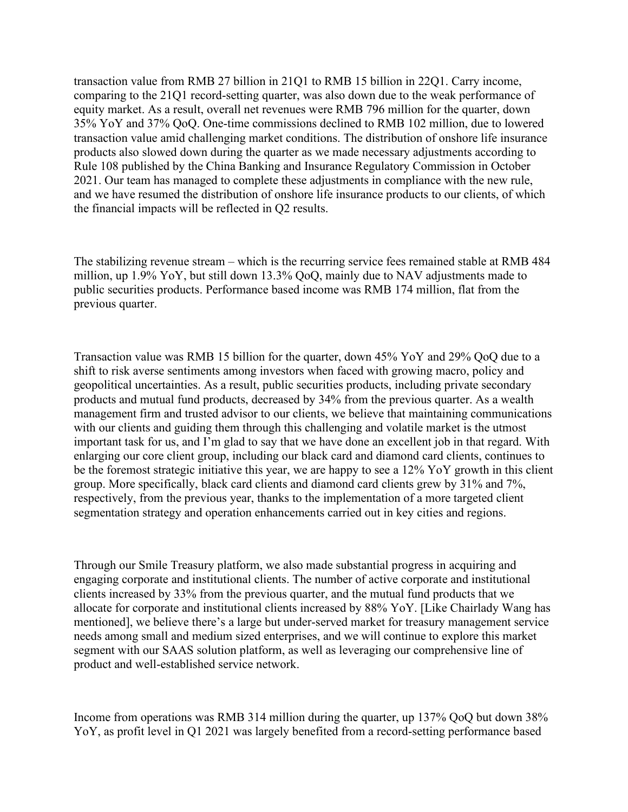transaction value from RMB 27 billion in 21Q1 to RMB 15 billion in 22Q1. Carry income, comparing to the 21Q1 record-setting quarter, was also down due to the weak performance of equity market. As a result, overall net revenues were RMB 796 million for the quarter, down 35% YoY and 37% QoQ. One-time commissions declined to RMB 102 million, due to lowered transaction value amid challenging market conditions. The distribution of onshore life insurance products also slowed down during the quarter as we made necessary adjustments according to Rule 108 published by the China Banking and Insurance Regulatory Commission in October 2021. Our team has managed to complete these adjustments in compliance with the new rule, and we have resumed the distribution of onshore life insurance products to our clients, of which the financial impacts will be reflected in Q2 results.

The stabilizing revenue stream – which is the recurring service fees remained stable at RMB 484 million, up 1.9% YoY, but still down 13.3% QoQ, mainly due to NAV adjustments made to public securities products. Performance based income was RMB 174 million, flat from the previous quarter.

Transaction value was RMB 15 billion for the quarter, down 45% YoY and 29% QoQ due to a shift to risk averse sentiments among investors when faced with growing macro, policy and geopolitical uncertainties. As a result, public securities products, including private secondary products and mutual fund products, decreased by 34% from the previous quarter. As a wealth management firm and trusted advisor to our clients, we believe that maintaining communications with our clients and guiding them through this challenging and volatile market is the utmost important task for us, and I'm glad to say that we have done an excellent job in that regard. With enlarging our core client group, including our black card and diamond card clients, continues to be the foremost strategic initiative this year, we are happy to see a 12% YoY growth in this client group. More specifically, black card clients and diamond card clients grew by 31% and 7%, respectively, from the previous year, thanks to the implementation of a more targeted client segmentation strategy and operation enhancements carried out in key cities and regions.

Through our Smile Treasury platform, we also made substantial progress in acquiring and engaging corporate and institutional clients. The number of active corporate and institutional clients increased by 33% from the previous quarter, and the mutual fund products that we allocate for corporate and institutional clients increased by 88% YoY. [Like Chairlady Wang has mentioned], we believe there's a large but under-served market for treasury management service needs among small and medium sized enterprises, and we will continue to explore this market segment with our SAAS solution platform, as well as leveraging our comprehensive line of product and well-established service network.

Income from operations was RMB 314 million during the quarter, up 137% QoQ but down 38% YoY, as profit level in Q1 2021 was largely benefited from a record-setting performance based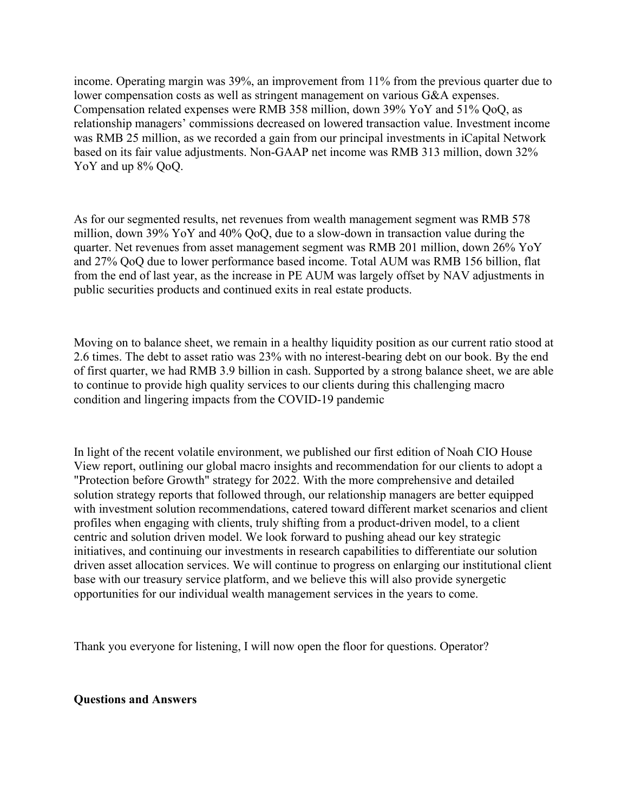income. Operating margin was 39%, an improvement from 11% from the previous quarter due to lower compensation costs as well as stringent management on various G&A expenses. Compensation related expenses were RMB 358 million, down 39% YoY and 51% QoQ, as relationship managers' commissions decreased on lowered transaction value. Investment income was RMB 25 million, as we recorded a gain from our principal investments in iCapital Network based on its fair value adjustments. Non-GAAP net income was RMB 313 million, down 32% YoY and up  $8\%$  OoO.

As for our segmented results, net revenues from wealth management segment was RMB 578 million, down 39% YoY and 40% QoQ, due to a slow-down in transaction value during the quarter. Net revenues from asset management segment was RMB 201 million, down 26% YoY and 27% QoQ due to lower performance based income. Total AUM was RMB 156 billion, flat from the end of last year, as the increase in PE AUM was largely offset by NAV adjustments in public securities products and continued exits in real estate products.

Moving on to balance sheet, we remain in a healthy liquidity position as our current ratio stood at 2.6 times. The debt to asset ratio was 23% with no interest-bearing debt on our book. By the end of first quarter, we had RMB 3.9 billion in cash. Supported by a strong balance sheet, we are able to continue to provide high quality services to our clients during this challenging macro condition and lingering impacts from the COVID-19 pandemic

In light of the recent volatile environment, we published our first edition of Noah CIO House View report, outlining our global macro insights and recommendation for our clients to adopt a "Protection before Growth" strategy for 2022. With the more comprehensive and detailed solution strategy reports that followed through, our relationship managers are better equipped with investment solution recommendations, catered toward different market scenarios and client profiles when engaging with clients, truly shifting from a product-driven model, to a client centric and solution driven model. We look forward to pushing ahead our key strategic initiatives, and continuing our investments in research capabilities to differentiate our solution driven asset allocation services. We will continue to progress on enlarging our institutional client base with our treasury service platform, and we believe this will also provide synergetic opportunities for our individual wealth management services in the years to come.

Thank you everyone for listening, I will now open the floor for questions. Operator?

## **Questions and Answers**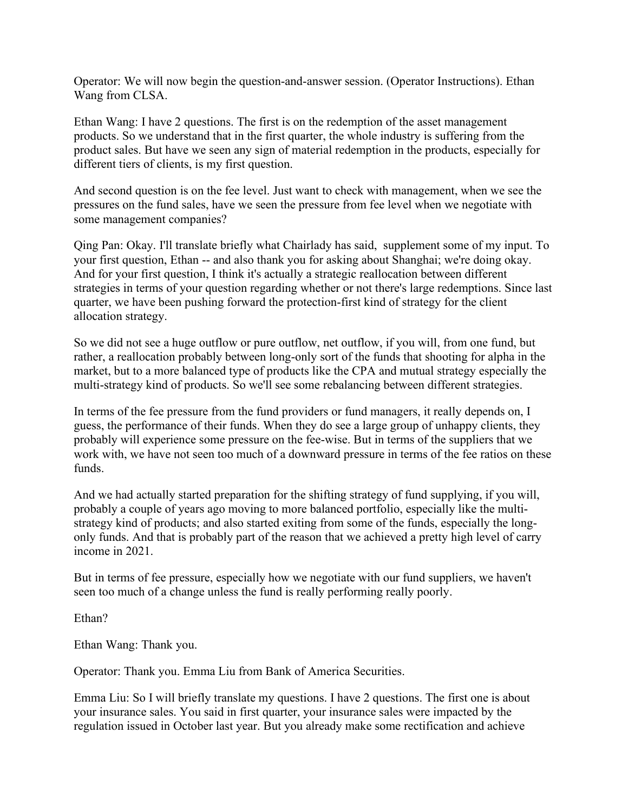Operator: We will now begin the question-and-answer session. (Operator Instructions). Ethan Wang from CLSA.

Ethan Wang: I have 2 questions. The first is on the redemption of the asset management products. So we understand that in the first quarter, the whole industry is suffering from the product sales. But have we seen any sign of material redemption in the products, especially for different tiers of clients, is my first question.

And second question is on the fee level. Just want to check with management, when we see the pressures on the fund sales, have we seen the pressure from fee level when we negotiate with some management companies?

Qing Pan: Okay. I'll translate briefly what Chairlady has said, supplement some of my input. To your first question, Ethan -- and also thank you for asking about Shanghai; we're doing okay. And for your first question, I think it's actually a strategic reallocation between different strategies in terms of your question regarding whether or not there's large redemptions. Since last quarter, we have been pushing forward the protection-first kind of strategy for the client allocation strategy.

So we did not see a huge outflow or pure outflow, net outflow, if you will, from one fund, but rather, a reallocation probably between long-only sort of the funds that shooting for alpha in the market, but to a more balanced type of products like the CPA and mutual strategy especially the multi-strategy kind of products. So we'll see some rebalancing between different strategies.

In terms of the fee pressure from the fund providers or fund managers, it really depends on, I guess, the performance of their funds. When they do see a large group of unhappy clients, they probably will experience some pressure on the fee-wise. But in terms of the suppliers that we work with, we have not seen too much of a downward pressure in terms of the fee ratios on these funds.

And we had actually started preparation for the shifting strategy of fund supplying, if you will, probably a couple of years ago moving to more balanced portfolio, especially like the multistrategy kind of products; and also started exiting from some of the funds, especially the longonly funds. And that is probably part of the reason that we achieved a pretty high level of carry income in 2021.

But in terms of fee pressure, especially how we negotiate with our fund suppliers, we haven't seen too much of a change unless the fund is really performing really poorly.

Ethan?

Ethan Wang: Thank you.

Operator: Thank you. Emma Liu from Bank of America Securities.

Emma Liu: So I will briefly translate my questions. I have 2 questions. The first one is about your insurance sales. You said in first quarter, your insurance sales were impacted by the regulation issued in October last year. But you already make some rectification and achieve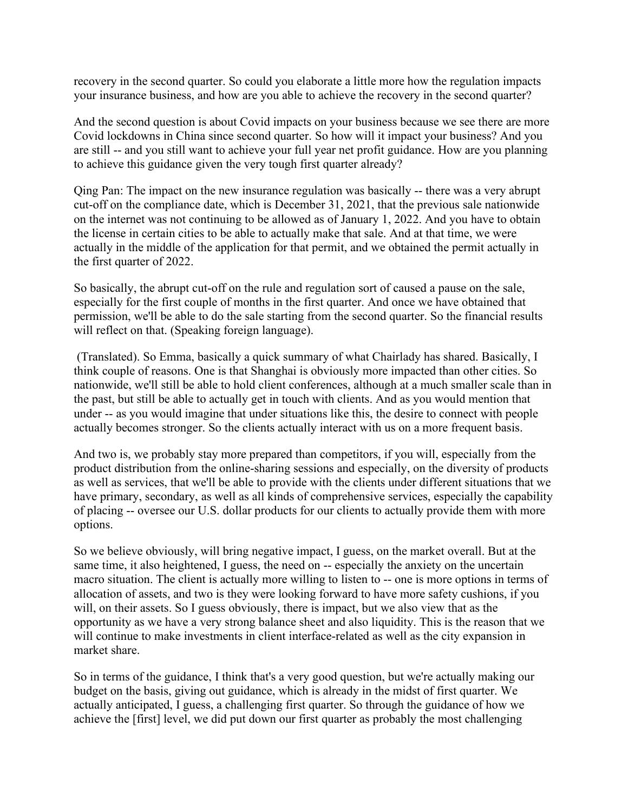recovery in the second quarter. So could you elaborate a little more how the regulation impacts your insurance business, and how are you able to achieve the recovery in the second quarter?

And the second question is about Covid impacts on your business because we see there are more Covid lockdowns in China since second quarter. So how will it impact your business? And you are still -- and you still want to achieve your full year net profit guidance. How are you planning to achieve this guidance given the very tough first quarter already?

Qing Pan: The impact on the new insurance regulation was basically -- there was a very abrupt cut-off on the compliance date, which is December 31, 2021, that the previous sale nationwide on the internet was not continuing to be allowed as of January 1, 2022. And you have to obtain the license in certain cities to be able to actually make that sale. And at that time, we were actually in the middle of the application for that permit, and we obtained the permit actually in the first quarter of 2022.

So basically, the abrupt cut-off on the rule and regulation sort of caused a pause on the sale, especially for the first couple of months in the first quarter. And once we have obtained that permission, we'll be able to do the sale starting from the second quarter. So the financial results will reflect on that. (Speaking foreign language).

(Translated). So Emma, basically a quick summary of what Chairlady has shared. Basically, I think couple of reasons. One is that Shanghai is obviously more impacted than other cities. So nationwide, we'll still be able to hold client conferences, although at a much smaller scale than in the past, but still be able to actually get in touch with clients. And as you would mention that under -- as you would imagine that under situations like this, the desire to connect with people actually becomes stronger. So the clients actually interact with us on a more frequent basis.

And two is, we probably stay more prepared than competitors, if you will, especially from the product distribution from the online-sharing sessions and especially, on the diversity of products as well as services, that we'll be able to provide with the clients under different situations that we have primary, secondary, as well as all kinds of comprehensive services, especially the capability of placing -- oversee our U.S. dollar products for our clients to actually provide them with more options.

So we believe obviously, will bring negative impact, I guess, on the market overall. But at the same time, it also heightened, I guess, the need on -- especially the anxiety on the uncertain macro situation. The client is actually more willing to listen to -- one is more options in terms of allocation of assets, and two is they were looking forward to have more safety cushions, if you will, on their assets. So I guess obviously, there is impact, but we also view that as the opportunity as we have a very strong balance sheet and also liquidity. This is the reason that we will continue to make investments in client interface-related as well as the city expansion in market share.

So in terms of the guidance, I think that's a very good question, but we're actually making our budget on the basis, giving out guidance, which is already in the midst of first quarter. We actually anticipated, I guess, a challenging first quarter. So through the guidance of how we achieve the [first] level, we did put down our first quarter as probably the most challenging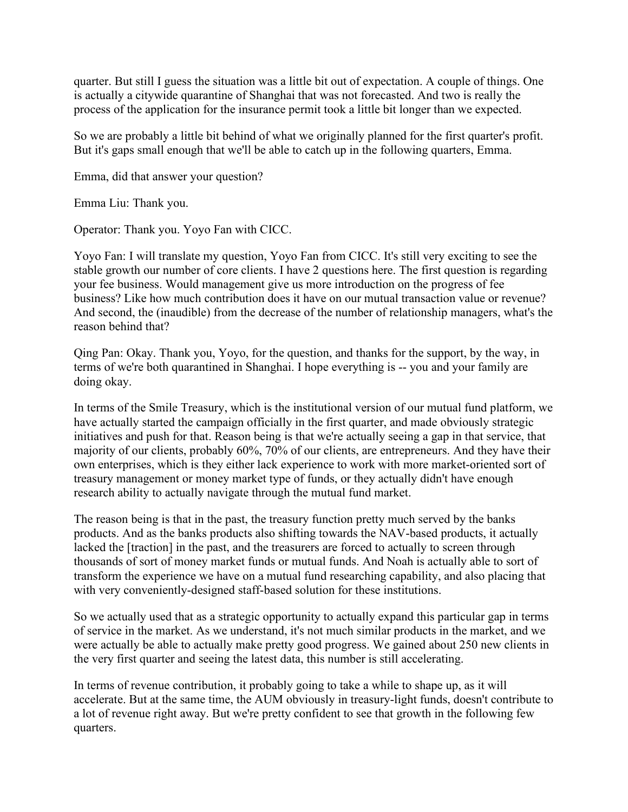quarter. But still I guess the situation was a little bit out of expectation. A couple of things. One is actually a citywide quarantine of Shanghai that was not forecasted. And two is really the process of the application for the insurance permit took a little bit longer than we expected.

So we are probably a little bit behind of what we originally planned for the first quarter's profit. But it's gaps small enough that we'll be able to catch up in the following quarters, Emma.

Emma, did that answer your question?

Emma Liu: Thank you.

Operator: Thank you. Yoyo Fan with CICC.

Yoyo Fan: I will translate my question, Yoyo Fan from CICC. It's still very exciting to see the stable growth our number of core clients. I have 2 questions here. The first question is regarding your fee business. Would management give us more introduction on the progress of fee business? Like how much contribution does it have on our mutual transaction value or revenue? And second, the (inaudible) from the decrease of the number of relationship managers, what's the reason behind that?

Qing Pan: Okay. Thank you, Yoyo, for the question, and thanks for the support, by the way, in terms of we're both quarantined in Shanghai. I hope everything is -- you and your family are doing okay.

In terms of the Smile Treasury, which is the institutional version of our mutual fund platform, we have actually started the campaign officially in the first quarter, and made obviously strategic initiatives and push for that. Reason being is that we're actually seeing a gap in that service, that majority of our clients, probably 60%, 70% of our clients, are entrepreneurs. And they have their own enterprises, which is they either lack experience to work with more market-oriented sort of treasury management or money market type of funds, or they actually didn't have enough research ability to actually navigate through the mutual fund market.

The reason being is that in the past, the treasury function pretty much served by the banks products. And as the banks products also shifting towards the NAV-based products, it actually lacked the [traction] in the past, and the treasurers are forced to actually to screen through thousands of sort of money market funds or mutual funds. And Noah is actually able to sort of transform the experience we have on a mutual fund researching capability, and also placing that with very conveniently-designed staff-based solution for these institutions.

So we actually used that as a strategic opportunity to actually expand this particular gap in terms of service in the market. As we understand, it's not much similar products in the market, and we were actually be able to actually make pretty good progress. We gained about 250 new clients in the very first quarter and seeing the latest data, this number is still accelerating.

In terms of revenue contribution, it probably going to take a while to shape up, as it will accelerate. But at the same time, the AUM obviously in treasury-light funds, doesn't contribute to a lot of revenue right away. But we're pretty confident to see that growth in the following few quarters.